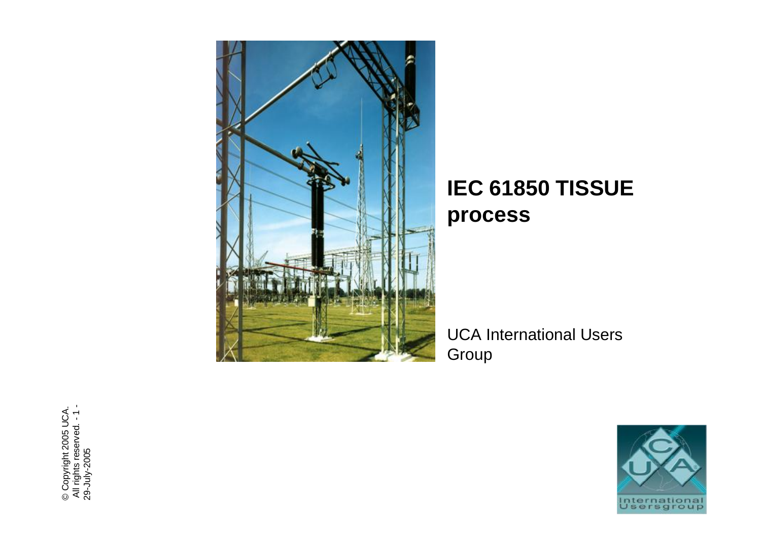

## IEC 61850 TISSUE process

**UCA International Users** Group



© Copyright 2005 UCA.<br>All rights reserved. - 1 -<br>29-July-2005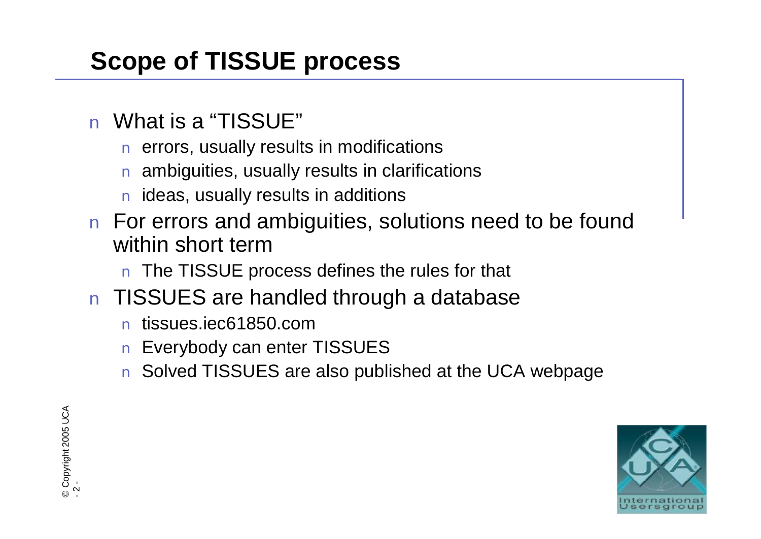- n What is a "TISSUE"
	- n errors, usually results in modifications
	- n ambiguities, usually results in clarifications
	- n ideas, usually results in additions
- **Scope of TISSUE process**<br> **n** What is a "TISSUE"<br> **n** errors, usually results in modifica<br> **n** ambiguities, usually results in data in ideas, usually results in additions<br> **n** For errors and ambiguities, so<br>
within short n For errors and ambiguities, solutions need to be found within short term
	- n The TISSUE process defines the rules for that
	- n TISSUES are handled through a database
		- n tissues.iec61850.com
		- n Everybody can enter TISSUES
		- n Solved TISSUES are also published at the UCA webpage

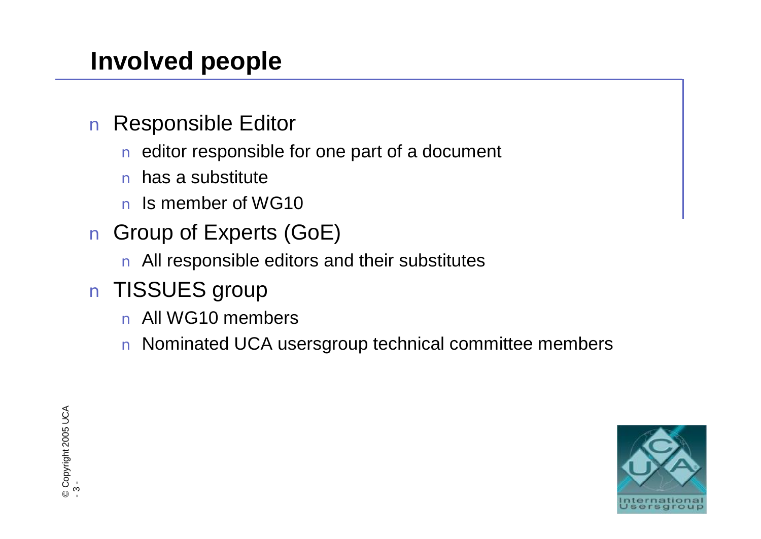# **Involved people**

- n Responsible Editor
	- n editor responsible for one part of a document
	- n has a substitute
	- n Is member of WG10
- n Group of Experts (GoE)
	- n All responsible editors and their substitutes
- n TISSUES group
	- n All WG10 members
	- n Nominated UCA usersgroup technical committee members

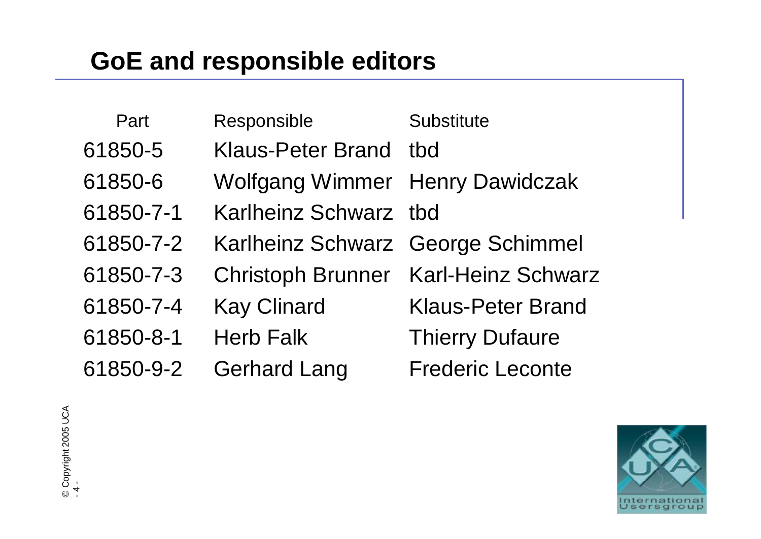| <b>GoE and responsible editors</b> |           |                                        |                           |
|------------------------------------|-----------|----------------------------------------|---------------------------|
|                                    |           |                                        |                           |
|                                    | Part      | Responsible                            | <b>Substitute</b>         |
|                                    | 61850-5   | Klaus-Peter Brand                      | tbd                       |
|                                    | 61850-6   | <b>Wolfgang Wimmer Henry Dawidczak</b> |                           |
|                                    | 61850-7-1 | Karlheinz Schwarz                      | tbd                       |
|                                    | 61850-7-2 | <b>Karlheinz Schwarz</b>               | <b>George Schimmel</b>    |
|                                    | 61850-7-3 | <b>Christoph Brunner</b>               | <b>Karl-Heinz Schwarz</b> |
|                                    | 61850-7-4 | <b>Kay Clinard</b>                     | <b>Klaus-Peter Brand</b>  |
|                                    | 61850-8-1 | <b>Herb Falk</b>                       | <b>Thierry Dufaure</b>    |
|                                    | 61850-9-2 | Gerhard Lang                           | <b>Frederic Leconte</b>   |
|                                    |           |                                        |                           |
|                                    |           |                                        |                           |
|                                    |           |                                        |                           |
|                                    |           |                                        |                           |



©  $\circ$  . o p yright 2 0 0 5  $\Box$ ပ $\_$  $\prec$ -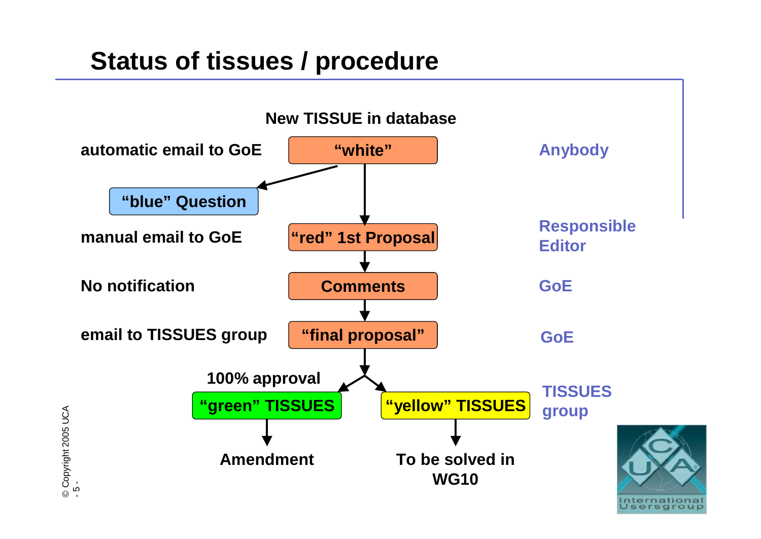## **Status of tissues / procedure**

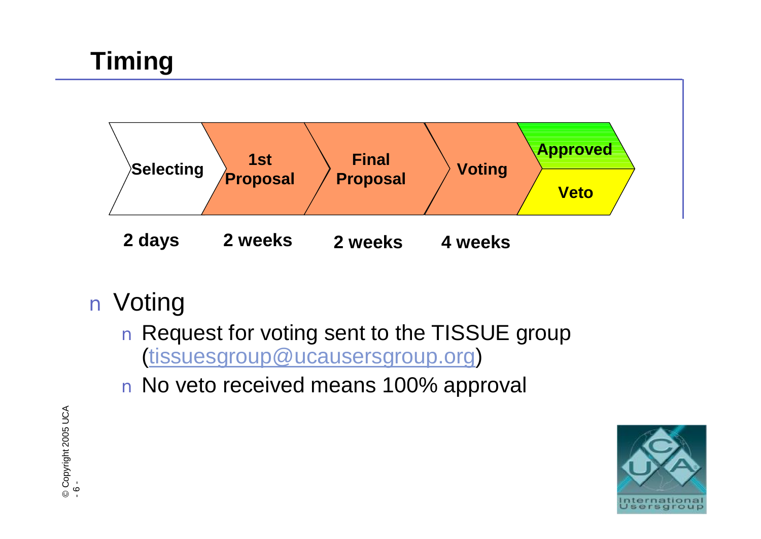

- n Voting
	- n Request for voting sent to the TISSUE group ([tissuesgroup@ucausersgroup.org\)](mailto:tissuesgroup@ucausersgroup.org)
	- n No veto received means 100% approval

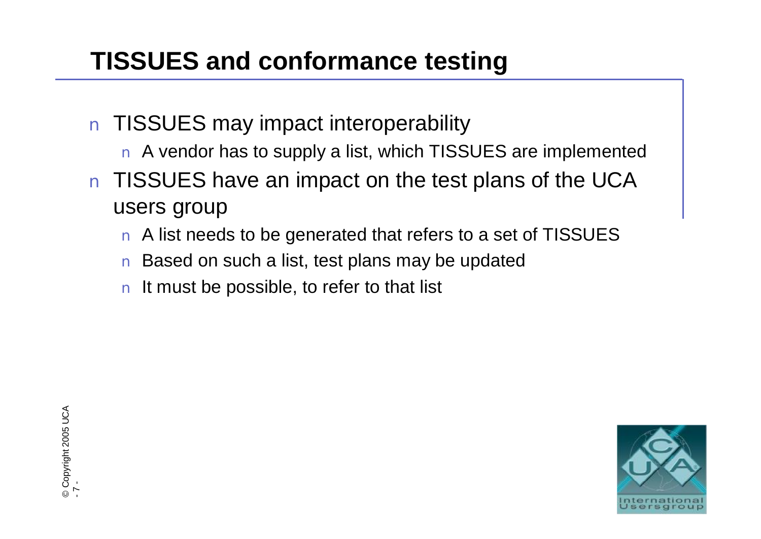- n TISSUES may impact interoperability
	- n A vendor has to supply a list, which TISSUES are implemented
- **TISSUES and conformance testing**<br> **n** TISSUES may impact interoperability<br> **n** A vendor has to supply a list, which TISSUES<br> **n** TISSUES have an impact on the test plar<br>
users group<br> **n** A list needs to be generated that n TISSUES have an impact on the test plans of the UCA users group
	- n A list needs to be generated that refers to a set of TISSUES
	- n Based on such a list, test plans may be updated
	- n It must be possible, to refer to that list